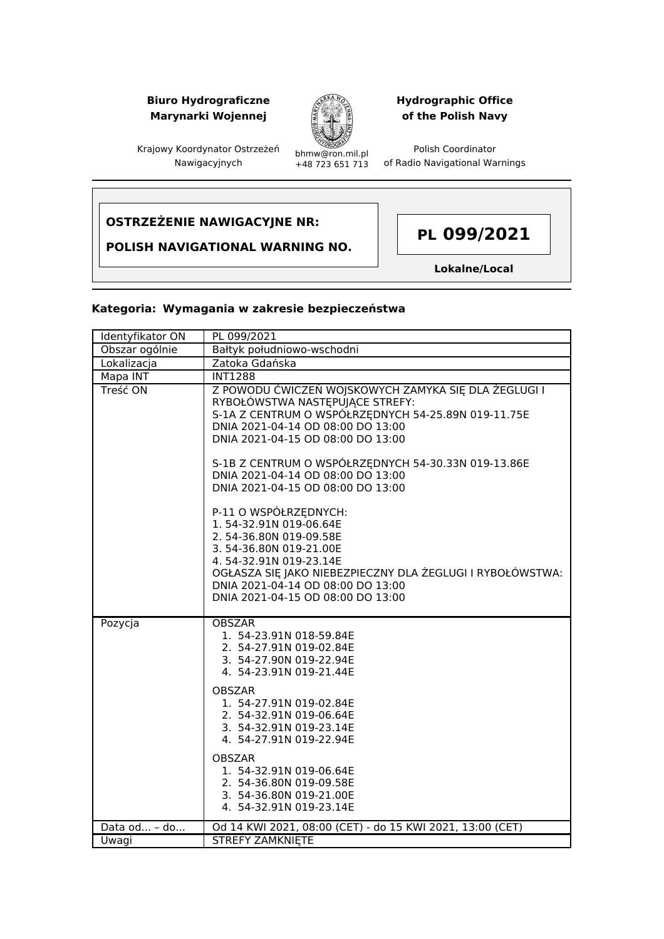## **Biuro Hydrograficzne Marynarki Wojennej**



## **Hydrographic Office of the Polish Navy**

Polish Coordinator of Radio Navigational Warnings

Krajowy Koordynator Ostrzeżeń Nawigacyjnych

bhmw@ron.mil.pl +48 723 651 713

# **OSTRZEŻENIE NAWIGACYJNE NR:**

**POLISH NAVIGATIONAL WARNING NO.**



**Lokalne/Local**

#### **Kategoria: Wymagania w zakresie bezpieczeństwa**

| Identyfikator ON | PL 099/2021                                                                                                                                                                                                                                                                                                                                                                                                                                                      |
|------------------|------------------------------------------------------------------------------------------------------------------------------------------------------------------------------------------------------------------------------------------------------------------------------------------------------------------------------------------------------------------------------------------------------------------------------------------------------------------|
| Obszar ogólnie   | Bałtyk południowo-wschodni                                                                                                                                                                                                                                                                                                                                                                                                                                       |
| Lokalizacja      | Zatoka Gdańska                                                                                                                                                                                                                                                                                                                                                                                                                                                   |
| Mapa INT         | <b>INT1288</b>                                                                                                                                                                                                                                                                                                                                                                                                                                                   |
| Treść ON         | Z POWODU ĆWICZEŃ WOJSKOWYCH ZAMYKA SIĘ DLA ŻEGLUGI I<br>RYBOŁÓWSTWA NASTĘPUJĄCE STREFY:<br>S-1A Z CENTRUM O WSPÓŁRZĘDNYCH 54-25.89N 019-11.75E<br>DNIA 2021-04-14 OD 08:00 DO 13:00<br>DNIA 2021-04-15 OD 08:00 DO 13:00<br>S-1B Z CENTRUM O WSPÓŁRZĘDNYCH 54-30.33N 019-13.86E<br>DNIA 2021-04-14 OD 08:00 DO 13:00<br>DNIA 2021-04-15 OD 08:00 DO 13:00<br>P-11 O WSPÓŁRZEDNYCH:<br>1.54-32.91N 019-06.64E<br>2.54-36.80N 019-09.58E<br>3.54-36.80N 019-21.00E |
|                  | 4.54-32.91N 019-23.14E<br>OGŁASZA SIĘ JAKO NIEBEZPIECZNY DLA ŻEGLUGI I RYBOŁÓWSTWA:<br>DNIA 2021-04-14 OD 08:00 DO 13:00<br>DNIA 2021-04-15 OD 08:00 DO 13:00                                                                                                                                                                                                                                                                                                    |
| Pozycja          | <b>OBSZAR</b><br>1. 54-23.91N 018-59.84E<br>2. 54-27.91N 019-02.84E<br>3. 54-27.90N 019-22.94E<br>4. 54-23.91N 019-21.44E                                                                                                                                                                                                                                                                                                                                        |
|                  | <b>OBSZAR</b><br>1. 54-27.91N 019-02.84E<br>2. 54-32.91N 019-06.64E<br>3. 54-32.91N 019-23.14E<br>4. 54-27.91N 019-22.94E                                                                                                                                                                                                                                                                                                                                        |
|                  | <b>OBSZAR</b><br>1. 54-32.91N 019-06.64E<br>2. 54-36.80N 019-09.58E<br>3. 54-36.80N 019-21.00E<br>4. 54-32.91N 019-23.14E                                                                                                                                                                                                                                                                                                                                        |
| Data od - do     | Od 14 KWI 2021, 08:00 (CET) - do 15 KWI 2021, 13:00 (CET)                                                                                                                                                                                                                                                                                                                                                                                                        |
| Uwagi            | <b>STREFY ZAMKNIETE</b>                                                                                                                                                                                                                                                                                                                                                                                                                                          |